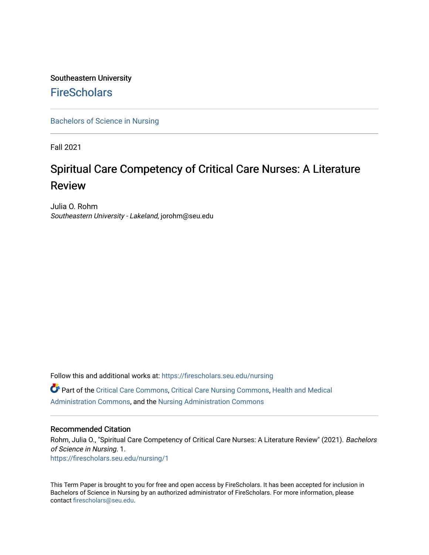## Southeastern University **FireScholars**

[Bachelors of Science in Nursing](https://firescholars.seu.edu/nursing)

Fall 2021

# Spiritual Care Competency of Critical Care Nurses: A Literature Review

Julia O. Rohm Southeastern University - Lakeland, jorohm@seu.edu

Follow this and additional works at: [https://firescholars.seu.edu/nursing](https://firescholars.seu.edu/nursing?utm_source=firescholars.seu.edu%2Fnursing%2F1&utm_medium=PDF&utm_campaign=PDFCoverPages) Part of the [Critical Care Commons,](http://network.bepress.com/hgg/discipline/1226?utm_source=firescholars.seu.edu%2Fnursing%2F1&utm_medium=PDF&utm_campaign=PDFCoverPages) [Critical Care Nursing Commons](http://network.bepress.com/hgg/discipline/727?utm_source=firescholars.seu.edu%2Fnursing%2F1&utm_medium=PDF&utm_campaign=PDFCoverPages), [Health and Medical](http://network.bepress.com/hgg/discipline/663?utm_source=firescholars.seu.edu%2Fnursing%2F1&utm_medium=PDF&utm_campaign=PDFCoverPages)  [Administration Commons,](http://network.bepress.com/hgg/discipline/663?utm_source=firescholars.seu.edu%2Fnursing%2F1&utm_medium=PDF&utm_campaign=PDFCoverPages) and the [Nursing Administration Commons](http://network.bepress.com/hgg/discipline/719?utm_source=firescholars.seu.edu%2Fnursing%2F1&utm_medium=PDF&utm_campaign=PDFCoverPages) 

#### Recommended Citation

Rohm, Julia O., "Spiritual Care Competency of Critical Care Nurses: A Literature Review" (2021). Bachelors of Science in Nursing. 1. [https://firescholars.seu.edu/nursing/1](https://firescholars.seu.edu/nursing/1?utm_source=firescholars.seu.edu%2Fnursing%2F1&utm_medium=PDF&utm_campaign=PDFCoverPages)

This Term Paper is brought to you for free and open access by FireScholars. It has been accepted for inclusion in Bachelors of Science in Nursing by an authorized administrator of FireScholars. For more information, please contact [firescholars@seu.edu](mailto:firescholars@seu.edu).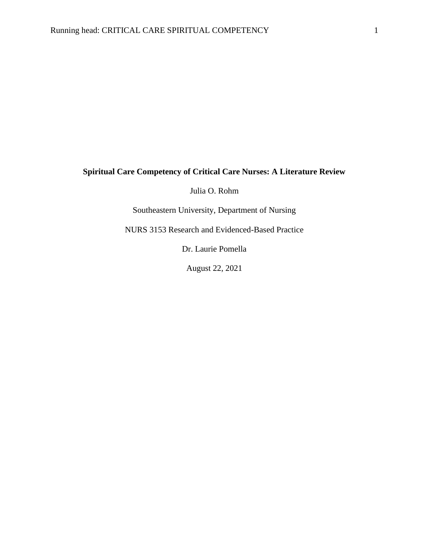### **Spiritual Care Competency of Critical Care Nurses: A Literature Review**

Julia O. Rohm

Southeastern University, Department of Nursing

NURS 3153 Research and Evidenced-Based Practice

Dr. Laurie Pomella

August 22, 2021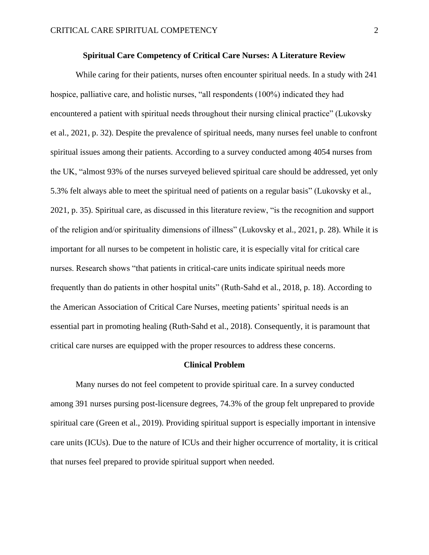#### **Spiritual Care Competency of Critical Care Nurses: A Literature Review**

While caring for their patients, nurses often encounter spiritual needs. In a study with 241 hospice, palliative care, and holistic nurses, "all respondents (100%) indicated they had encountered a patient with spiritual needs throughout their nursing clinical practice" (Lukovsky et al., 2021, p. 32). Despite the prevalence of spiritual needs, many nurses feel unable to confront spiritual issues among their patients. According to a survey conducted among 4054 nurses from the UK, "almost 93% of the nurses surveyed believed spiritual care should be addressed, yet only 5.3% felt always able to meet the spiritual need of patients on a regular basis" (Lukovsky et al., 2021, p. 35). Spiritual care, as discussed in this literature review, "is the recognition and support of the religion and/or spirituality dimensions of illness" (Lukovsky et al., 2021, p. 28). While it is important for all nurses to be competent in holistic care, it is especially vital for critical care nurses. Research shows "that patients in critical-care units indicate spiritual needs more frequently than do patients in other hospital units" (Ruth-Sahd et al., 2018, p. 18). According to the American Association of Critical Care Nurses, meeting patients' spiritual needs is an essential part in promoting healing (Ruth-Sahd et al., 2018). Consequently, it is paramount that critical care nurses are equipped with the proper resources to address these concerns.

#### **Clinical Problem**

Many nurses do not feel competent to provide spiritual care. In a survey conducted among 391 nurses pursing post-licensure degrees, 74.3% of the group felt unprepared to provide spiritual care (Green et al., 2019). Providing spiritual support is especially important in intensive care units (ICUs). Due to the nature of ICUs and their higher occurrence of mortality, it is critical that nurses feel prepared to provide spiritual support when needed.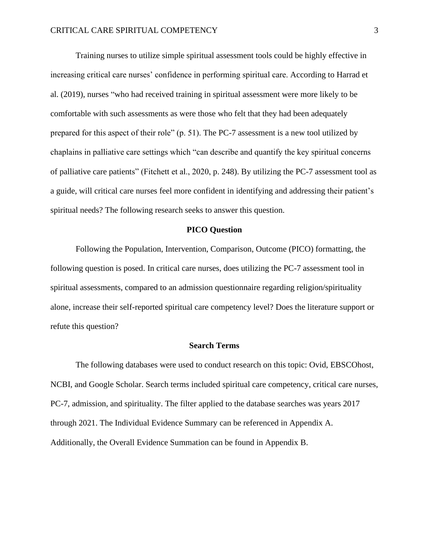Training nurses to utilize simple spiritual assessment tools could be highly effective in increasing critical care nurses' confidence in performing spiritual care. According to Harrad et al. (2019), nurses "who had received training in spiritual assessment were more likely to be comfortable with such assessments as were those who felt that they had been adequately prepared for this aspect of their role" (p. 51). The PC-7 assessment is a new tool utilized by chaplains in palliative care settings which "can describe and quantify the key spiritual concerns of palliative care patients" (Fitchett et al., 2020, p. 248). By utilizing the PC-7 assessment tool as a guide, will critical care nurses feel more confident in identifying and addressing their patient's spiritual needs? The following research seeks to answer this question.

#### **PICO Question**

Following the Population, Intervention, Comparison, Outcome (PICO) formatting, the following question is posed. In critical care nurses, does utilizing the PC-7 assessment tool in spiritual assessments, compared to an admission questionnaire regarding religion/spirituality alone, increase their self-reported spiritual care competency level? Does the literature support or refute this question?

#### **Search Terms**

The following databases were used to conduct research on this topic: Ovid, EBSCOhost, NCBI, and Google Scholar. Search terms included spiritual care competency, critical care nurses, PC-7, admission, and spirituality. The filter applied to the database searches was years 2017 through 2021. The Individual Evidence Summary can be referenced in Appendix A. Additionally, the Overall Evidence Summation can be found in Appendix B.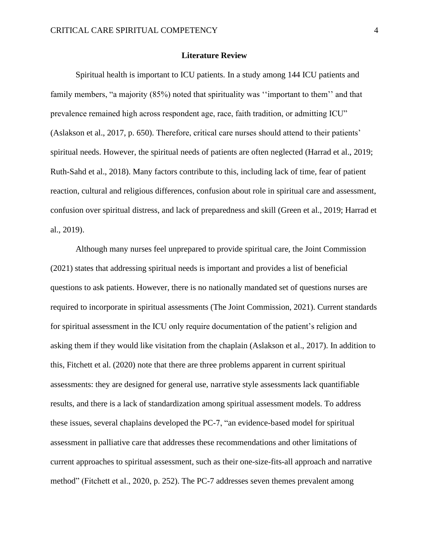#### **Literature Review**

Spiritual health is important to ICU patients. In a study among 144 ICU patients and family members, "a majority (85%) noted that spirituality was "important to them" and that prevalence remained high across respondent age, race, faith tradition, or admitting ICU" (Aslakson et al., 2017, p. 650). Therefore, critical care nurses should attend to their patients' spiritual needs. However, the spiritual needs of patients are often neglected (Harrad et al., 2019; Ruth-Sahd et al., 2018). Many factors contribute to this, including lack of time, fear of patient reaction, cultural and religious differences, confusion about role in spiritual care and assessment, confusion over spiritual distress, and lack of preparedness and skill (Green et al., 2019; Harrad et al., 2019).

Although many nurses feel unprepared to provide spiritual care, the Joint Commission (2021) states that addressing spiritual needs is important and provides a list of beneficial questions to ask patients. However, there is no nationally mandated set of questions nurses are required to incorporate in spiritual assessments (The Joint Commission, 2021). Current standards for spiritual assessment in the ICU only require documentation of the patient's religion and asking them if they would like visitation from the chaplain (Aslakson et al., 2017). In addition to this, Fitchett et al. (2020) note that there are three problems apparent in current spiritual assessments: they are designed for general use, narrative style assessments lack quantifiable results, and there is a lack of standardization among spiritual assessment models. To address these issues, several chaplains developed the PC-7, "an evidence-based model for spiritual assessment in palliative care that addresses these recommendations and other limitations of current approaches to spiritual assessment, such as their one-size-fits-all approach and narrative method" (Fitchett et al., 2020, p. 252). The PC-7 addresses seven themes prevalent among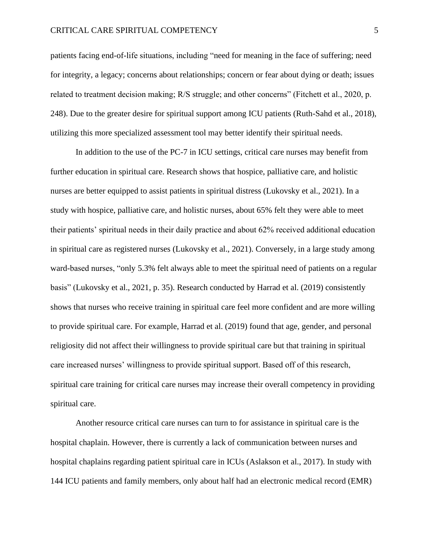#### CRITICAL CARE SPIRITUAL COMPETENCY 5

patients facing end-of-life situations, including "need for meaning in the face of suffering; need for integrity, a legacy; concerns about relationships; concern or fear about dying or death; issues related to treatment decision making; R/S struggle; and other concerns" (Fitchett et al., 2020, p. 248). Due to the greater desire for spiritual support among ICU patients (Ruth-Sahd et al., 2018), utilizing this more specialized assessment tool may better identify their spiritual needs.

In addition to the use of the PC-7 in ICU settings, critical care nurses may benefit from further education in spiritual care. Research shows that hospice, palliative care, and holistic nurses are better equipped to assist patients in spiritual distress (Lukovsky et al., 2021). In a study with hospice, palliative care, and holistic nurses, about 65% felt they were able to meet their patients' spiritual needs in their daily practice and about 62% received additional education in spiritual care as registered nurses (Lukovsky et al., 2021). Conversely, in a large study among ward-based nurses, "only 5.3% felt always able to meet the spiritual need of patients on a regular basis" (Lukovsky et al., 2021, p. 35). Research conducted by Harrad et al. (2019) consistently shows that nurses who receive training in spiritual care feel more confident and are more willing to provide spiritual care. For example, Harrad et al. (2019) found that age, gender, and personal religiosity did not affect their willingness to provide spiritual care but that training in spiritual care increased nurses' willingness to provide spiritual support. Based off of this research, spiritual care training for critical care nurses may increase their overall competency in providing spiritual care.

Another resource critical care nurses can turn to for assistance in spiritual care is the hospital chaplain. However, there is currently a lack of communication between nurses and hospital chaplains regarding patient spiritual care in ICUs (Aslakson et al., 2017). In study with 144 ICU patients and family members, only about half had an electronic medical record (EMR)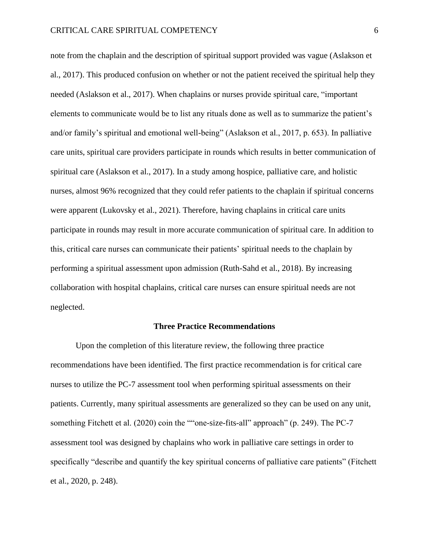note from the chaplain and the description of spiritual support provided was vague (Aslakson et al., 2017). This produced confusion on whether or not the patient received the spiritual help they needed (Aslakson et al., 2017). When chaplains or nurses provide spiritual care, "important elements to communicate would be to list any rituals done as well as to summarize the patient's and/or family's spiritual and emotional well-being" (Aslakson et al., 2017, p. 653). In palliative care units, spiritual care providers participate in rounds which results in better communication of spiritual care (Aslakson et al., 2017). In a study among hospice, palliative care, and holistic nurses, almost 96% recognized that they could refer patients to the chaplain if spiritual concerns were apparent (Lukovsky et al., 2021). Therefore, having chaplains in critical care units participate in rounds may result in more accurate communication of spiritual care. In addition to this, critical care nurses can communicate their patients' spiritual needs to the chaplain by performing a spiritual assessment upon admission (Ruth-Sahd et al., 2018). By increasing collaboration with hospital chaplains, critical care nurses can ensure spiritual needs are not neglected.

#### **Three Practice Recommendations**

Upon the completion of this literature review, the following three practice recommendations have been identified. The first practice recommendation is for critical care nurses to utilize the PC-7 assessment tool when performing spiritual assessments on their patients. Currently, many spiritual assessments are generalized so they can be used on any unit, something Fitchett et al. (2020) coin the ""one-size-fits-all" approach" (p. 249). The PC-7 assessment tool was designed by chaplains who work in palliative care settings in order to specifically "describe and quantify the key spiritual concerns of palliative care patients" (Fitchett et al., 2020, p. 248).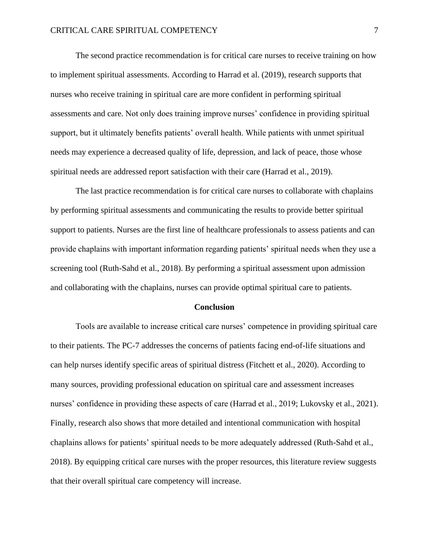The second practice recommendation is for critical care nurses to receive training on how to implement spiritual assessments. According to Harrad et al. (2019), research supports that nurses who receive training in spiritual care are more confident in performing spiritual assessments and care. Not only does training improve nurses' confidence in providing spiritual support, but it ultimately benefits patients' overall health. While patients with unmet spiritual needs may experience a decreased quality of life, depression, and lack of peace, those whose spiritual needs are addressed report satisfaction with their care (Harrad et al., 2019).

The last practice recommendation is for critical care nurses to collaborate with chaplains by performing spiritual assessments and communicating the results to provide better spiritual support to patients. Nurses are the first line of healthcare professionals to assess patients and can provide chaplains with important information regarding patients' spiritual needs when they use a screening tool (Ruth-Sahd et al., 2018). By performing a spiritual assessment upon admission and collaborating with the chaplains, nurses can provide optimal spiritual care to patients.

#### **Conclusion**

Tools are available to increase critical care nurses' competence in providing spiritual care to their patients. The PC-7 addresses the concerns of patients facing end-of-life situations and can help nurses identify specific areas of spiritual distress (Fitchett et al., 2020). According to many sources, providing professional education on spiritual care and assessment increases nurses' confidence in providing these aspects of care (Harrad et al., 2019; Lukovsky et al., 2021). Finally, research also shows that more detailed and intentional communication with hospital chaplains allows for patients' spiritual needs to be more adequately addressed (Ruth-Sahd et al., 2018). By equipping critical care nurses with the proper resources, this literature review suggests that their overall spiritual care competency will increase.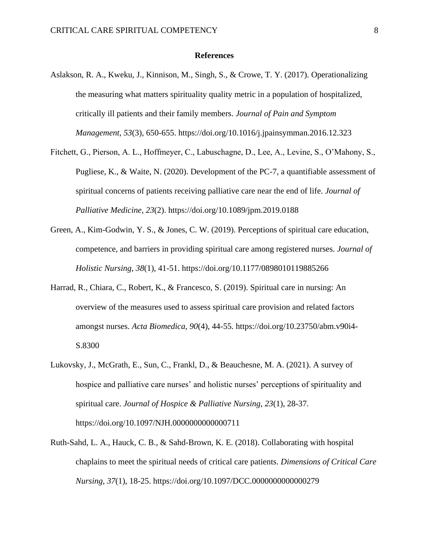#### **References**

- Aslakson, R. A., Kweku, J., Kinnison, M., Singh, S., & Crowe, T. Y. (2017). Operationalizing the measuring what matters spirituality quality metric in a population of hospitalized, critically ill patients and their family members. *Journal of Pain and Symptom Management*, *53*(3), 650-655. [https://doi.org/10.1016/j.jpainsymman.2016.12.323](https://doi-org.seu.idm.oclc.org/10.1016/j.jpainsymman.2016.12.323)
- Fitchett, G., Pierson, A. L., Hoffmeyer, C., Labuschagne, D., Lee, A., Levine, S., O'Mahony, S., Pugliese, K., & Waite, N. (2020). Development of the PC-7, a quantifiable assessment of spiritual concerns of patients receiving palliative care near the end of life. *Journal of Palliative Medicine*, *23*(2). <https://doi.org/10.1089/jpm.2019.0188>
- Green, A., Kim-Godwin, Y. S., & Jones, C. W. (2019). Perceptions of spiritual care education, competence, and barriers in providing spiritual care among registered nurses. *Journal of Holistic Nursing*, *38*(1), 41-51. https://doi.org/10.1177/0898010119885266
- Harrad, R., Chiara, C., Robert, K., & Francesco, S. (2019). Spiritual care in nursing: An overview of the measures used to assess spiritual care provision and related factors amongst nurses. *Acta Biomedica*, *90*(4), 44-55. https://doi.org[/10.23750/abm.v90i4-](https://dx.doi.org/10.23750%2Fabm.v90i4-S.8300) [S.8300](https://dx.doi.org/10.23750%2Fabm.v90i4-S.8300)
- Lukovsky, J., McGrath, E., Sun, C., Frankl, D., & Beauchesne, M. A. (2021). A survey of hospice and palliative care nurses' and holistic nurses' perceptions of spirituality and spiritual care. *Journal of Hospice & Palliative Nursing*, *23*(1), 28-37. <https://doi.org/10.1097/NJH.0000000000000711>
- Ruth-Sahd, L. A., Hauck, C. B., & Sahd-Brown, K. E. (2018). Collaborating with hospital chaplains to meet the spiritual needs of critical care patients. *Dimensions of Critical Care Nursing*, *37*(1), 18-25.<https://doi.org/10.1097/DCC.0000000000000279>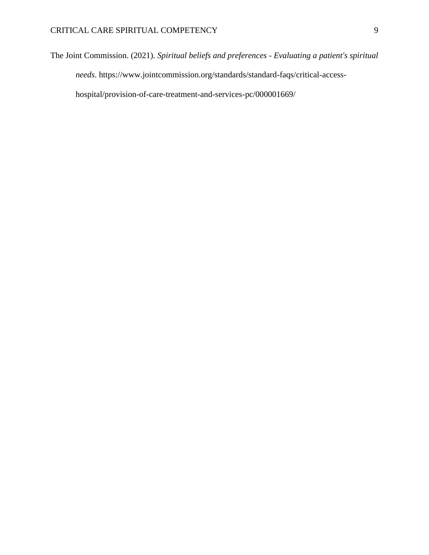The Joint Commission. (2021). *Spiritual beliefs and preferences - Evaluating a patient's spiritual needs*. [https://www.jointcommission.org/standards/standard-faqs/critical-access](https://www.jointcommission.org/standards/standard-faqs/critical-access-)hospital/provision-of-care-treatment-and-services-pc/000001669/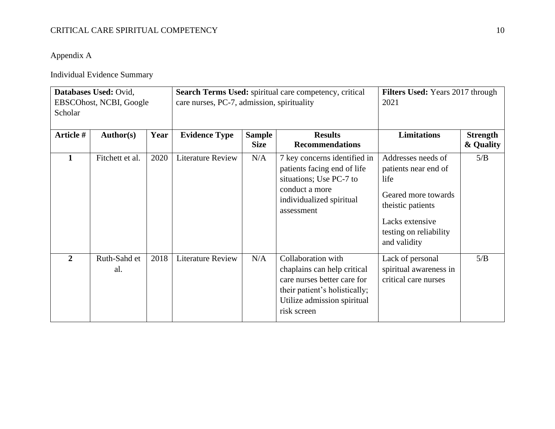### CRITICAL CARE SPIRITUAL COMPETENCY 10

Appendix A

Individual Evidence Summary

| Databases Used: Ovid,<br>EBSCOhost, NCBI, Google<br>Scholar |                     |      | Search Terms Used: spiritual care competency, critical<br>care nurses, PC-7, admission, spirituality |                              |                                                                                                                                                                 | Filters Used: Years 2017 through<br>2021                                                                                                                    |                              |
|-------------------------------------------------------------|---------------------|------|------------------------------------------------------------------------------------------------------|------------------------------|-----------------------------------------------------------------------------------------------------------------------------------------------------------------|-------------------------------------------------------------------------------------------------------------------------------------------------------------|------------------------------|
| Article #                                                   | <b>Author(s)</b>    | Year | <b>Evidence Type</b>                                                                                 | <b>Sample</b><br><b>Size</b> | <b>Results</b><br><b>Recommendations</b>                                                                                                                        | <b>Limitations</b>                                                                                                                                          | <b>Strength</b><br>& Quality |
|                                                             | Fitchett et al.     | 2020 | <b>Literature Review</b>                                                                             | N/A                          | 7 key concerns identified in<br>patients facing end of life<br>situations; Use PC-7 to<br>conduct a more<br>individualized spiritual<br>assessment              | Addresses needs of<br>patients near end of<br>life<br>Geared more towards<br>theistic patients<br>Lacks extensive<br>testing on reliability<br>and validity | 5/B                          |
| $\overline{2}$                                              | Ruth-Sahd et<br>al. | 2018 | <b>Literature Review</b>                                                                             | N/A                          | Collaboration with<br>chaplains can help critical<br>care nurses better care for<br>their patient's holistically;<br>Utilize admission spiritual<br>risk screen | Lack of personal<br>spiritual awareness in<br>critical care nurses                                                                                          | 5/B                          |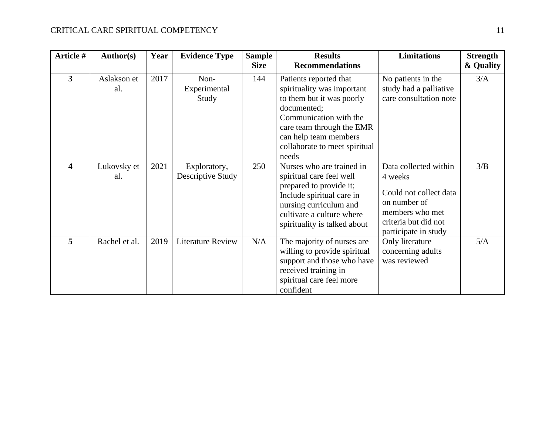| Article #               | <b>Author(s)</b>   | Year | <b>Evidence Type</b>              | <b>Sample</b><br><b>Size</b> | <b>Results</b><br><b>Recommendations</b>                                                                                                                                                                                   | <b>Limitations</b>                                                                                                                            | <b>Strength</b><br>& Quality |
|-------------------------|--------------------|------|-----------------------------------|------------------------------|----------------------------------------------------------------------------------------------------------------------------------------------------------------------------------------------------------------------------|-----------------------------------------------------------------------------------------------------------------------------------------------|------------------------------|
| $\overline{\mathbf{3}}$ | Aslakson et<br>al. | 2017 | Non-<br>Experimental<br>Study     | 144                          | Patients reported that<br>spirituality was important<br>to them but it was poorly<br>documented;<br>Communication with the<br>care team through the EMR<br>can help team members<br>collaborate to meet spiritual<br>needs | No patients in the<br>study had a palliative<br>care consultation note                                                                        | 3/A                          |
| $\overline{\mathbf{4}}$ | Lukovsky et<br>al. | 2021 | Exploratory,<br>Descriptive Study | 250                          | Nurses who are trained in<br>spiritual care feel well<br>prepared to provide it;<br>Include spiritual care in<br>nursing curriculum and<br>cultivate a culture where<br>spirituality is talked about                       | Data collected within<br>4 weeks<br>Could not collect data<br>on number of<br>members who met<br>criteria but did not<br>participate in study | 3/B                          |
| 5                       | Rachel et al.      | 2019 | <b>Literature Review</b>          | N/A                          | The majority of nurses are<br>willing to provide spiritual<br>support and those who have<br>received training in<br>spiritual care feel more<br>confident                                                                  | Only literature<br>concerning adults<br>was reviewed                                                                                          | 5/A                          |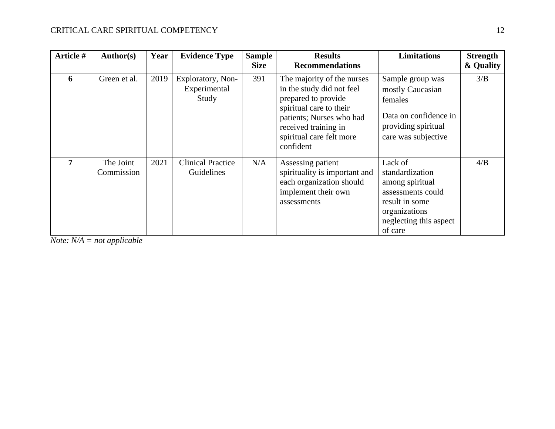| Article # | Author(s)               | Year | <b>Evidence Type</b>                       | <b>Sample</b><br><b>Size</b> | <b>Results</b><br><b>Recommendations</b>                                                                                                                                                               | <b>Limitations</b>                                                                                                                         | <b>Strength</b><br>& Quality |
|-----------|-------------------------|------|--------------------------------------------|------------------------------|--------------------------------------------------------------------------------------------------------------------------------------------------------------------------------------------------------|--------------------------------------------------------------------------------------------------------------------------------------------|------------------------------|
| 6         | Green et al.            | 2019 | Exploratory, Non-<br>Experimental<br>Study | 391                          | The majority of the nurses<br>in the study did not feel<br>prepared to provide<br>spiritual care to their<br>patients; Nurses who had<br>received training in<br>spiritual care felt more<br>confident | Sample group was<br>mostly Caucasian<br>females<br>Data on confidence in<br>providing spiritual<br>care was subjective                     | 3/B                          |
| 7         | The Joint<br>Commission | 2021 | <b>Clinical Practice</b><br>Guidelines     | N/A                          | Assessing patient<br>spirituality is important and<br>each organization should<br>implement their own<br>assessments                                                                                   | Lack of<br>standardization<br>among spiritual<br>assessments could<br>result in some<br>organizations<br>neglecting this aspect<br>of care | 4/B                          |

*Note: N/A = not applicable*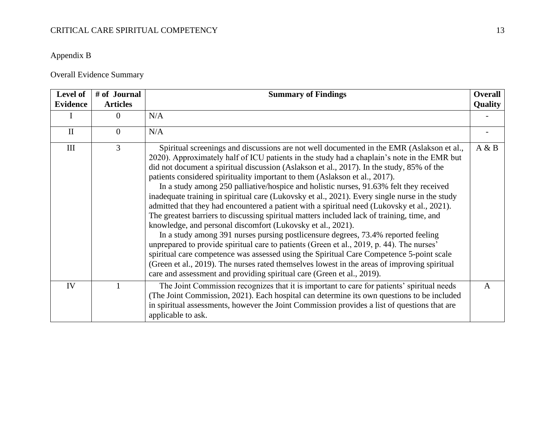### CRITICAL CARE SPIRITUAL COMPETENCY 13

## Appendix B

## Overall Evidence Summary

| Level of<br><b>Evidence</b> | # of Journal<br><b>Articles</b> | <b>Summary of Findings</b>                                                                                                                                                                                                                                                                                                                                                                                                                                                                                                                                                                                                                                                                                                                                                                                                                                                                                                                                                                                                                                                                                                                                                                                                                                                           | Overall<br><b>Quality</b> |
|-----------------------------|---------------------------------|--------------------------------------------------------------------------------------------------------------------------------------------------------------------------------------------------------------------------------------------------------------------------------------------------------------------------------------------------------------------------------------------------------------------------------------------------------------------------------------------------------------------------------------------------------------------------------------------------------------------------------------------------------------------------------------------------------------------------------------------------------------------------------------------------------------------------------------------------------------------------------------------------------------------------------------------------------------------------------------------------------------------------------------------------------------------------------------------------------------------------------------------------------------------------------------------------------------------------------------------------------------------------------------|---------------------------|
|                             | 0                               | N/A                                                                                                                                                                                                                                                                                                                                                                                                                                                                                                                                                                                                                                                                                                                                                                                                                                                                                                                                                                                                                                                                                                                                                                                                                                                                                  |                           |
| $\mathbf{I}$                | $\theta$                        | N/A                                                                                                                                                                                                                                                                                                                                                                                                                                                                                                                                                                                                                                                                                                                                                                                                                                                                                                                                                                                                                                                                                                                                                                                                                                                                                  |                           |
| III                         | $\overline{3}$                  | Spiritual screenings and discussions are not well documented in the EMR (Aslakson et al.,<br>2020). Approximately half of ICU patients in the study had a chaplain's note in the EMR but<br>did not document a spiritual discussion (Aslakson et al., 2017). In the study, 85% of the<br>patients considered spirituality important to them (Aslakson et al., 2017).<br>In a study among 250 palliative/hospice and holistic nurses, 91.63% felt they received<br>inadequate training in spiritual care (Lukovsky et al., 2021). Every single nurse in the study<br>admitted that they had encountered a patient with a spiritual need (Lukovsky et al., 2021).<br>The greatest barriers to discussing spiritual matters included lack of training, time, and<br>knowledge, and personal discomfort (Lukovsky et al., 2021).<br>In a study among 391 nurses pursing postlicensure degrees, 73.4% reported feeling<br>unprepared to provide spiritual care to patients (Green et al., 2019, p. 44). The nurses'<br>spiritual care competence was assessed using the Spiritual Care Competence 5-point scale<br>(Green et al., 2019). The nurses rated themselves lowest in the areas of improving spiritual<br>care and assessment and providing spiritual care (Green et al., 2019). | A & B                     |
| IV                          |                                 | The Joint Commission recognizes that it is important to care for patients' spiritual needs<br>(The Joint Commission, 2021). Each hospital can determine its own questions to be included<br>in spiritual assessments, however the Joint Commission provides a list of questions that are<br>applicable to ask.                                                                                                                                                                                                                                                                                                                                                                                                                                                                                                                                                                                                                                                                                                                                                                                                                                                                                                                                                                       | A                         |